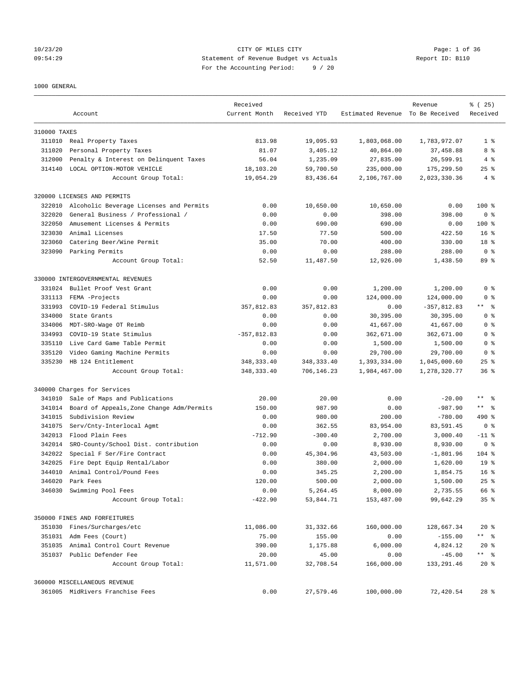# 10/23/20 CITY OF MILES CITY Page: 1 of 36 09:54:29 Statement of Revenue Budget vs Actuals Report ID: B110 For the Accounting Period: 9 / 20

#### 1000 GENERAL

|              | Account                                   | Received<br>Current Month | Received YTD | Estimated Revenue To Be Received | Revenue       | % (25)<br>Received |
|--------------|-------------------------------------------|---------------------------|--------------|----------------------------------|---------------|--------------------|
| 310000 TAXES |                                           |                           |              |                                  |               |                    |
|              | 311010 Real Property Taxes                | 813.98                    | 19,095.93    | 1,803,068.00                     | 1,783,972.07  | 1 <sup>8</sup>     |
| 311020       | Personal Property Taxes                   | 81.07                     | 3,405.12     | 40,864.00                        | 37,458.88     | 8 %                |
| 312000       | Penalty & Interest on Delinquent Taxes    | 56.04                     | 1,235.09     | 27,835.00                        | 26,599.91     | 4%                 |
| 314140       | LOCAL OPTION-MOTOR VEHICLE                | 18,103.20                 | 59,700.50    | 235,000.00                       | 175,299.50    | $25$ $%$           |
|              | Account Group Total:                      | 19,054.29                 | 83,436.64    | 2,106,767.00                     | 2,023,330.36  | 4%                 |
|              | 320000 LICENSES AND PERMITS               |                           |              |                                  |               |                    |
| 322010       | Alcoholic Beverage Licenses and Permits   | 0.00                      | 10,650.00    | 10,650.00                        | 0.00          | $100$ %            |
| 322020       | General Business / Professional /         | 0.00                      | 0.00         | 398.00                           | 398.00        | 0 <sup>8</sup>     |
| 322050       | Amusement Licenses & Permits              | 0.00                      | 690.00       | 690.00                           | 0.00          | $100$ %            |
| 323030       | Animal Licenses                           | 17.50                     | 77.50        | 500.00                           | 422.50        | 16 <sup>8</sup>    |
| 323060       | Catering Beer/Wine Permit                 | 35.00                     | 70.00        | 400.00                           | 330.00        | 18 %               |
| 323090       | Parking Permits                           | 0.00                      | 0.00         | 288.00                           | 288.00        | 0 <sup>8</sup>     |
|              | Account Group Total:                      | 52.50                     | 11,487.50    | 12,926.00                        | 1,438.50      | 89 %               |
|              | 330000 INTERGOVERNMENTAL REVENUES         |                           |              |                                  |               |                    |
| 331024       | Bullet Proof Vest Grant                   | 0.00                      | 0.00         | 1,200.00                         | 1,200.00      | 0 <sup>8</sup>     |
| 331113       | FEMA -Projects                            | 0.00                      | 0.00         | 124,000.00                       | 124,000.00    | 0 <sup>8</sup>     |
| 331993       | COVID-19 Federal Stimulus                 | 357,812.83                | 357,812.83   | 0.00                             | $-357,812.83$ | ** 응               |
| 334000       | State Grants                              | 0.00                      | 0.00         | 30,395.00                        | 30,395.00     | 0 <sup>8</sup>     |
| 334006       | MDT-SRO-Wage OT Reimb                     | 0.00                      | 0.00         | 41,667.00                        | 41,667.00     | 0 <sup>8</sup>     |
| 334993       | COVID-19 State Stimulus                   | $-357,812.83$             | 0.00         | 362,671.00                       | 362,671.00    | 0 <sup>8</sup>     |
| 335110       | Live Card Game Table Permit               | 0.00                      | 0.00         | 1,500.00                         | 1,500.00      | 0 <sup>8</sup>     |
| 335120       | Video Gaming Machine Permits              | 0.00                      | 0.00         | 29,700.00                        | 29,700.00     | 0 <sup>8</sup>     |
| 335230       | HB 124 Entitlement                        | 348, 333.40               | 348, 333.40  | 1,393,334.00                     | 1,045,000.60  | $25$ $%$           |
|              | Account Group Total:                      | 348, 333.40               | 706,146.23   | 1,984,467.00                     | 1,278,320.77  | 36 <sup>8</sup>    |
|              | 340000 Charges for Services               |                           |              |                                  |               |                    |
| 341010       | Sale of Maps and Publications             | 20.00                     | 20.00        | 0.00                             | $-20.00$      | ** 왕               |
| 341014       | Board of Appeals, Zone Change Adm/Permits | 150.00                    | 987.90       | 0.00                             | $-987.90$     | $***$ $ -$         |
| 341015       | Subdivision Review                        | 0.00                      | 980.00       | 200.00                           | $-780.00$     | 490 %              |
| 341075       | Serv/Cnty-Interlocal Agmt                 | 0.00                      | 362.55       | 83,954.00                        | 83,591.45     | 0 <sup>8</sup>     |
| 342013       | Flood Plain Fees                          | $-712.90$                 | $-300.40$    | 2,700.00                         | 3,000.40      | $-11$ %            |
| 342014       | SRO-County/School Dist. contribution      | 0.00                      | 0.00         | 8,930.00                         | 8,930.00      | 0 <sup>8</sup>     |
| 342022       | Special F Ser/Fire Contract               | 0.00                      | 45,304.96    | 43,503.00                        | $-1,801.96$   | $104$ %            |
| 342025       | Fire Dept Equip Rental/Labor              | 0.00                      | 380.00       | 2,000.00                         | 1,620.00      | 19 <sup>°</sup>    |
| 344010       | Animal Control/Pound Fees                 | 0.00                      | 345.25       | 2,200.00                         | 1,854.75      | 16 <sup>8</sup>    |
| 346020       | Park Fees                                 | 120.00                    | 500.00       | 2,000.00                         | 1,500.00      | $25$ $%$           |
| 346030       | Swimming Pool Fees                        | 0.00                      | 5,264.45     | 8,000.00                         | 2,735.55      | 66 %               |
|              | Account Group Total:                      | $-422.90$                 | 53,844.71    | 153,487.00                       | 99,642.29     | 35 <sup>8</sup>    |
|              | 350000 FINES AND FORFEITURES              |                           |              |                                  |               |                    |
| 351030       | Fines/Surcharges/etc                      | 11,086.00                 | 31, 332.66   | 160,000.00                       | 128,667.34    | $20*$              |
|              | 351031 Adm Fees (Court)                   | 75.00                     | 155.00       | 0.00                             | $-155.00$     | ** %               |
| 351035       | Animal Control Court Revenue              | 390.00                    | 1,175.88     | 6,000.00                         | 4,824.12      | $20*$              |
|              | 351037 Public Defender Fee                | 20.00                     | 45.00        | 0.00                             | $-45.00$      | $***$ $ -$         |
|              | Account Group Total:                      | 11,571.00                 | 32,708.54    | 166,000.00                       | 133,291.46    | $20*$              |
|              | 360000 MISCELLANEOUS REVENUE              |                           |              |                                  |               |                    |
|              | 361005 MidRivers Franchise Fees           | 0.00                      | 27,579.46    | 100,000.00                       | 72,420.54     | $28$ %             |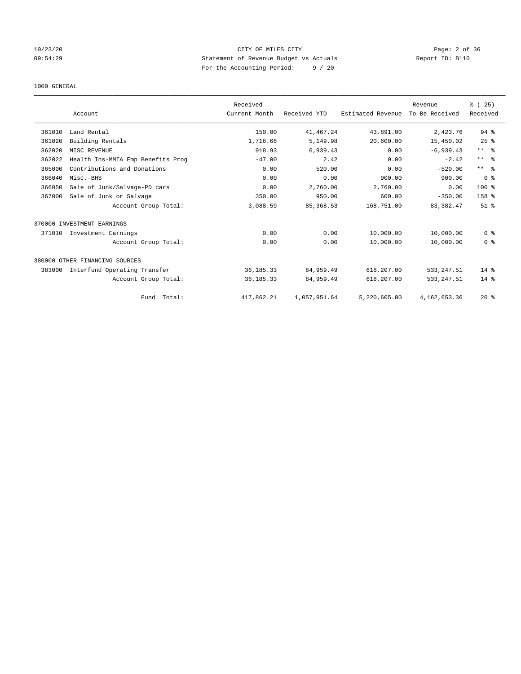# 10/23/20 CITY OF MILES CITY Page: 2 of 36 09:54:29 Statement of Revenue Budget vs Actuals Report ID: B110 For the Accounting Period: 9 / 20

#### 1000 GENERAL

|        |                                   | Received      |              |                   | Revenue        | % (25)                  |
|--------|-----------------------------------|---------------|--------------|-------------------|----------------|-------------------------|
|        | Account                           | Current Month | Received YTD | Estimated Revenue | To Be Received | Received                |
| 361010 | Land Rental                       | 150.00        | 41, 467.24   | 43,891.00         | 2,423.76       | $94$ %                  |
| 361020 | Building Rentals                  | 1,716.66      | 5,149.98     | 20,600.00         | 15,450.02      | 25%                     |
| 362020 | MISC REVENUE                      | 918.93        | 6,939.43     | 0.00              | $-6,939.43$    | $***$ $=$ $\frac{6}{5}$ |
| 362022 | Health Ins-MMIA Emp Benefits Prog | $-47.00$      | 2.42         | 0.00              | $-2.42$        | $***$ $=$ $\frac{6}{5}$ |
| 365000 | Contributions and Donations       | 0.00          | 520.00       | 0.00              | $-520.00$      | ** %                    |
| 366040 | Misc.-BHS                         | 0.00          | 0.00         | 900.00            | 900.00         | 0 <sup>8</sup>          |
| 366050 | Sale of Junk/Salvage-PD cars      | 0.00          | 2,760.00     | 2,760.00          | 0.00           | 100 %                   |
| 367000 | Sale of Junk or Salvage           | 350.00        | 950.00       | 600.00            | $-350.00$      | 158 %                   |
|        | Account Group Total:              | 3,088.59      | 85, 368.53   | 168,751.00        | 83, 382.47     | $51$ $%$                |
|        | 370000 INVESTMENT EARNINGS        |               |              |                   |                |                         |
| 371010 | Investment Earnings               | 0.00          | 0.00         | 10,000.00         | 10,000.00      | 0 <sup>8</sup>          |
|        | Account Group Total:              | 0.00          | 0.00         | 10,000.00         | 10,000.00      | 0 <sup>8</sup>          |
|        | 380000 OTHER FINANCING SOURCES    |               |              |                   |                |                         |
| 383000 | Interfund Operating Transfer      | 36, 185. 33   | 84,959.49    | 618,207.00        | 533, 247.51    | $14$ %                  |
|        | Account Group Total:              | 36, 185. 33   | 84,959.49    | 618,207.00        | 533, 247.51    | $14*$                   |
|        | Fund Total:                       | 417,862.21    | 1,057,951.64 | 5,220,605.00      | 4,162,653.36   | $20*$                   |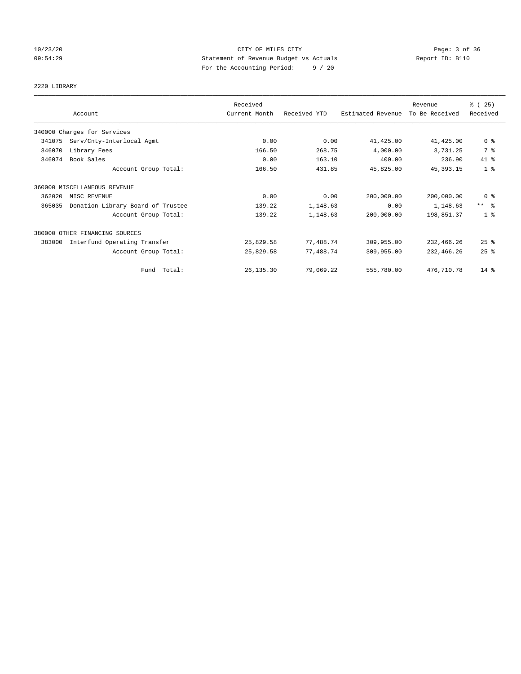# 10/23/20 CITY OF MILES CITY Page: 3 of 36 09:54:29 Statement of Revenue Budget vs Actuals Report ID: B110 For the Accounting Period: 9 / 20

# 2220 LIBRARY

|        | Account                           | Received<br>Current Month | Received YTD | Estimated Revenue | Revenue<br>To Be Received | % (25)<br>Received      |
|--------|-----------------------------------|---------------------------|--------------|-------------------|---------------------------|-------------------------|
|        | 340000 Charges for Services       |                           |              |                   |                           |                         |
| 341075 | Serv/Cnty-Interlocal Agmt         | 0.00                      | 0.00         | 41,425.00         | 41,425.00                 | 0 <sup>8</sup>          |
| 346070 | Library Fees                      | 166.50                    | 268.75       | 4,000.00          | 3,731.25                  | 7 %                     |
| 346074 | Book Sales                        | 0.00                      | 163.10       | 400.00            | 236.90                    | 41 %                    |
|        | Account Group Total:              | 166.50                    | 431.85       | 45,825.00         | 45, 393. 15               | 1 <sup>°</sup>          |
|        | 360000 MISCELLANEOUS REVENUE      |                           |              |                   |                           |                         |
| 362020 | MISC REVENUE                      | 0.00                      | 0.00         | 200,000.00        | 200,000.00                | 0 <sup>8</sup>          |
| 365035 | Donation-Library Board of Trustee | 139.22                    | 1,148.63     | 0.00              | $-1, 148.63$              | $***$ $=$ $\frac{6}{5}$ |
|        | Account Group Total:              | 139.22                    | 1,148.63     | 200,000.00        | 198,851.37                | 1 <sup>8</sup>          |
|        | 380000 OTHER FINANCING SOURCES    |                           |              |                   |                           |                         |
| 383000 | Interfund Operating Transfer      | 25,829.58                 | 77,488.74    | 309,955.00        | 232,466.26                | $25$ $%$                |
|        | Account Group Total:              | 25,829.58                 | 77,488.74    | 309,955.00        | 232,466.26                | 25%                     |
|        | Fund Total:                       | 26, 135.30                | 79,069.22    | 555,780.00        | 476,710.78                | $14*$                   |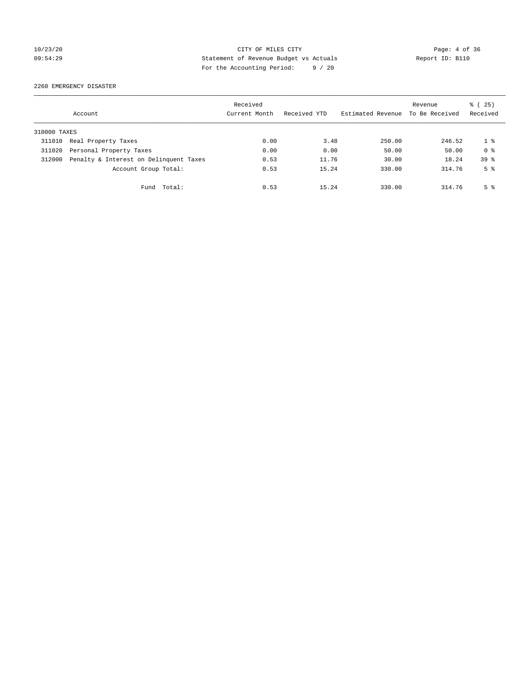# 10/23/20 CITY OF MILES CITY Page: 4 of 36 09:54:29 Statement of Revenue Budget vs Actuals Report ID: B110 For the Accounting Period: 9 / 20

2260 EMERGENCY DISASTER

|              | Account                                | Received<br>Current Month | Received YTD | Estimated Revenue | Revenue<br>To Be Received | % (25)<br>Received |
|--------------|----------------------------------------|---------------------------|--------------|-------------------|---------------------------|--------------------|
| 310000 TAXES |                                        |                           |              |                   |                           |                    |
| 311010       | Real Property Taxes                    | 0.00                      | 3.48         | 250.00            | 246.52                    | 18                 |
| 311020       | Personal Property Taxes                | 0.00                      | 0.00         | 50.00             | 50.00                     | 0 <sup>8</sup>     |
| 312000       | Penalty & Interest on Delinquent Taxes | 0.53                      | 11.76        | 30.00             | 18.24                     | 39 <sup>8</sup>    |
|              | Account Group Total:                   | 0.53                      | 15.24        | 330.00            | 314.76                    | 5 <sup>8</sup>     |
|              | Total:<br>Fund                         | 0.53                      | 15.24        | 330.00            | 314.76                    | 5 <sup>8</sup>     |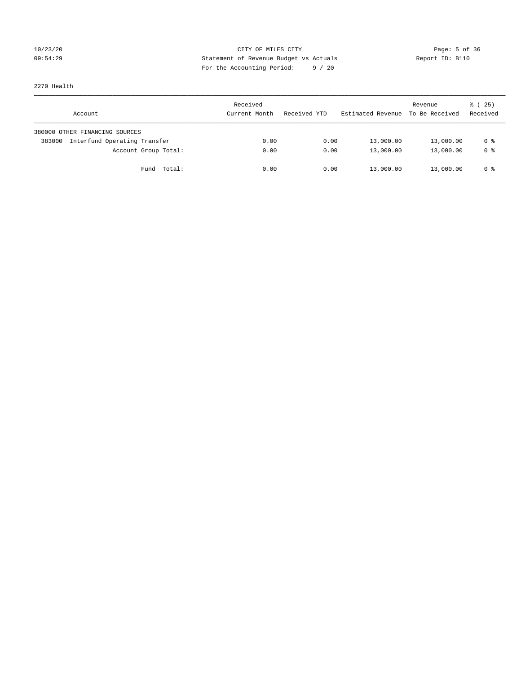# 10/23/20 CITY OF MILES CITY Page: 5 of 36 09:54:29 Statement of Revenue Budget vs Actuals Report ID: B110 For the Accounting Period: 9 / 20

2270 Health

| Account                                | Received<br>Current Month | Received YTD | Estimated Revenue | Revenue<br>To Be Received | 8 (25)<br>Received |
|----------------------------------------|---------------------------|--------------|-------------------|---------------------------|--------------------|
| 380000 OTHER FINANCING SOURCES         |                           |              |                   |                           |                    |
| Interfund Operating Transfer<br>383000 | 0.00                      | 0.00         | 13,000.00         | 13,000.00                 | 0 %                |
| Account Group Total:                   | 0.00                      | 0.00         | 13,000.00         | 13,000.00                 | 0 %                |
| Total:<br>Fund                         | 0.00                      | 0.00         | 13,000.00         | 13,000.00                 | 0 %                |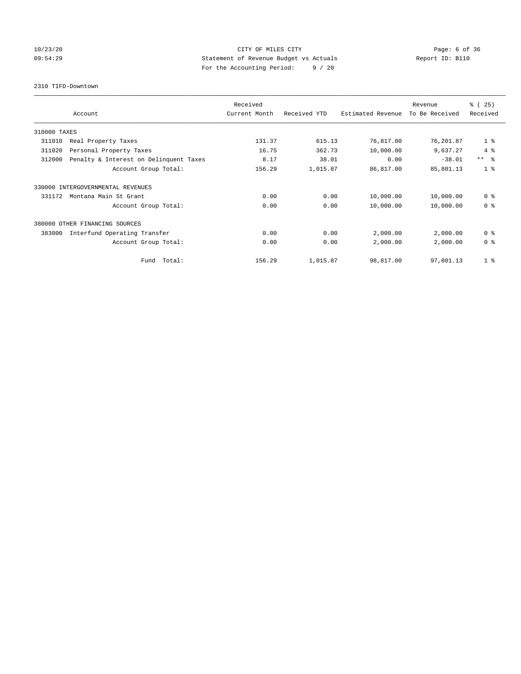# 10/23/20 CITY OF MILES CITY Page: 6 of 36 09:54:29 Statement of Revenue Budget vs Actuals Report ID: B110 For the Accounting Period: 9 / 20

2310 TIFD-Downtown

|              |                                        | Received      |              |                   | Revenue        | % (25)         |
|--------------|----------------------------------------|---------------|--------------|-------------------|----------------|----------------|
|              | Account                                | Current Month | Received YTD | Estimated Revenue | To Be Received | Received       |
| 310000 TAXES |                                        |               |              |                   |                |                |
| 311010       | Real Property Taxes                    | 131.37        | 615.13       | 76,817.00         | 76,201.87      | 1 <sup>8</sup> |
| 311020       | Personal Property Taxes                | 16.75         | 362.73       | 10,000.00         | 9,637.27       | 4%             |
| 312000       | Penalty & Interest on Delinquent Taxes | 8.17          | 38.01        | 0.00              | $-38.01$       | $***$ $ -$     |
|              | Account Group Total:                   | 156.29        | 1,015.87     | 86,817.00         | 85,801.13      | 1 <sup>8</sup> |
|              | 330000 INTERGOVERNMENTAL REVENUES      |               |              |                   |                |                |
| 331172       | Montana Main St Grant                  | 0.00          | 0.00         | 10,000.00         | 10,000.00      | 0 <sup>8</sup> |
|              | Account Group Total:                   | 0.00          | 0.00         | 10,000.00         | 10,000.00      | 0 <sup>8</sup> |
|              | 380000 OTHER FINANCING SOURCES         |               |              |                   |                |                |
| 383000       | Interfund Operating Transfer           | 0.00          | 0.00         | 2,000.00          | 2,000.00       | 0 <sup>8</sup> |
|              | Account Group Total:                   | 0.00          | 0.00         | 2,000.00          | 2,000.00       | 0 <sup>8</sup> |
|              | Total:<br>Fund                         | 156.29        | 1,015.87     | 98,817.00         | 97,801.13      | 1 <sup>8</sup> |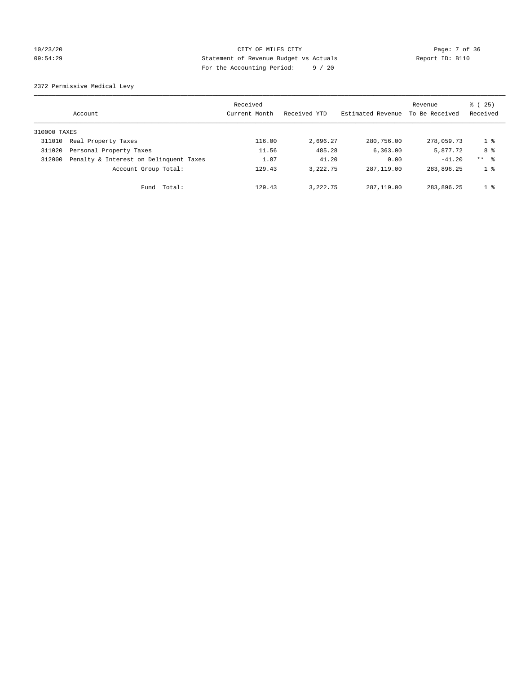# 10/23/20 CITY OF MILES CITY Page: 7 of 36 09:54:29 Statement of Revenue Budget vs Actuals Report ID: B110 For the Accounting Period: 9 / 20

2372 Permissive Medical Levy

|              | Account                                | Received<br>Current Month | Received YTD | Estimated Revenue | Revenue<br>To Be Received | 8 (25)<br>Received |
|--------------|----------------------------------------|---------------------------|--------------|-------------------|---------------------------|--------------------|
| 310000 TAXES |                                        |                           |              |                   |                           |                    |
| 311010       | Real Property Taxes                    | 116.00                    | 2,696.27     | 280,756.00        | 278,059.73                | $1 \degree$        |
| 311020       | Personal Property Taxes                | 11.56                     | 485.28       | 6,363.00          | 5,877.72                  | 8 %                |
| 312000       | Penalty & Interest on Delinquent Taxes | 1.87                      | 41.20        | 0.00              | $-41.20$                  | $***$ $ -$         |
|              | Account Group Total:                   | 129.43                    | 3, 222, 75   | 287, 119, 00      | 283,896.25                | 1 <sup>8</sup>     |
|              | Total:<br>Fund                         | 129.43                    | 3, 222, 75   | 287, 119, 00      | 283,896.25                | 1 <sup>8</sup>     |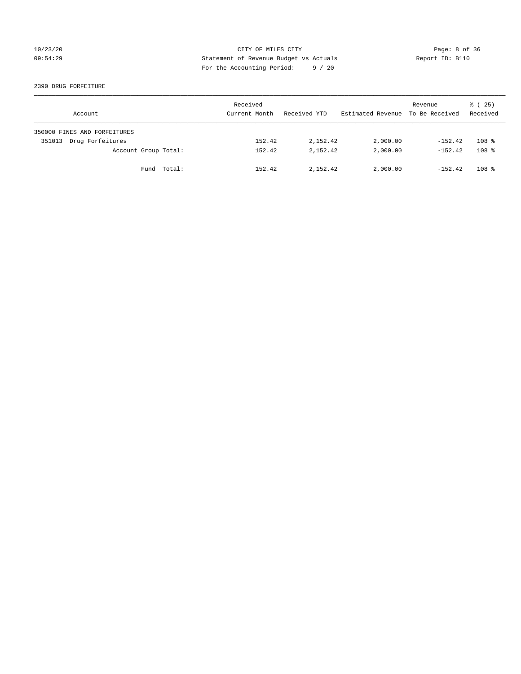# 10/23/20 CITY OF MILES CITY Page: 8 of 36 09:54:29 Statement of Revenue Budget vs Actuals Report ID: B110 For the Accounting Period: 9 / 20

#### 2390 DRUG FORFEITURE

| Account                      | Received<br>Current Month | Received YTD | Estimated Revenue | Revenue<br>To Be Received | 8 (25)<br>Received |
|------------------------------|---------------------------|--------------|-------------------|---------------------------|--------------------|
| 350000 FINES AND FORFEITURES |                           |              |                   |                           |                    |
| Drug Forfeitures<br>351013   | 152.42                    | 2,152.42     | 2,000.00          | $-152.42$                 | 108 <sup>8</sup>   |
| Account Group Total:         | 152.42                    | 2,152.42     | 2,000.00          | $-152.42$                 | 108 <sup>8</sup>   |
| Fund Total:                  | 152.42                    | 2,152.42     | 2,000.00          | $-152.42$                 | 108 <sup>8</sup>   |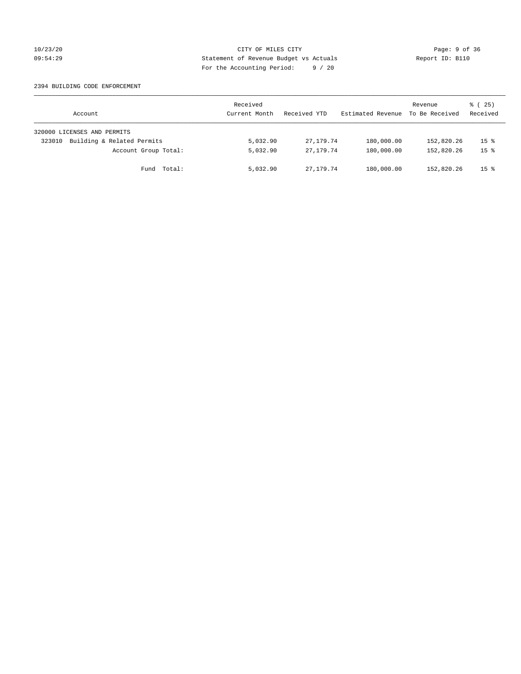# 10/23/20 CITY OF MILES CITY Page: 9 of 36 09:54:29 Statement of Revenue Budget vs Actuals Report ID: B110 For the Accounting Period: 9 / 20

#### 2394 BUILDING CODE ENFORCEMENT

| Account                              | Received<br>Current Month | Received YTD | Estimated Revenue | Revenue<br>To Be Received | $\frac{1}{6}$ ( 25)<br>Received |
|--------------------------------------|---------------------------|--------------|-------------------|---------------------------|---------------------------------|
| 320000 LICENSES AND PERMITS          |                           |              |                   |                           |                                 |
| Building & Related Permits<br>323010 | 5,032.90                  | 27, 179, 74  | 180,000.00        | 152,820.26                | 15 <sup>8</sup>                 |
| Account Group Total:                 | 5,032.90                  | 27,179.74    | 180,000.00        | 152,820.26                | 15 <sup>8</sup>                 |
| Fund Total:                          | 5,032.90                  | 27, 179, 74  | 180,000.00        | 152,820.26                | 15 <sup>8</sup>                 |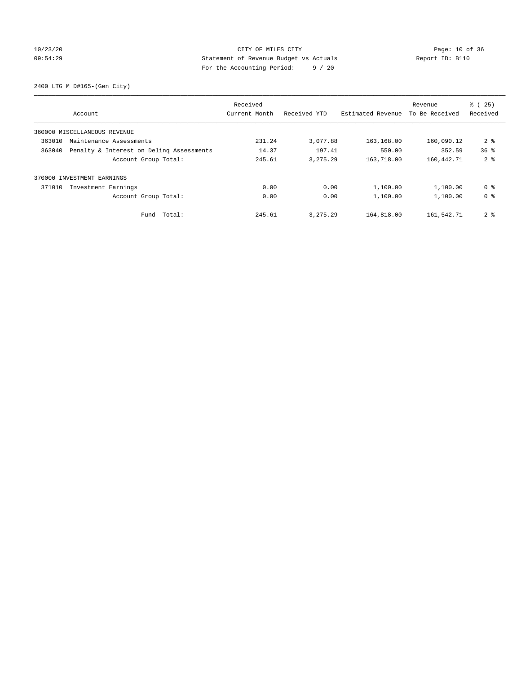# 10/23/20 Page: 10 of 36 CITY OF MILES CITY CHE PAGE: 10 of 36 09:54:29 Statement of Revenue Budget vs Actuals Report ID: B110 For the Accounting Period: 9 / 20

2400 LTG M D#165-(Gen City)

|                                                    | Received      |              |                   | Revenue        | % (25)          |
|----------------------------------------------------|---------------|--------------|-------------------|----------------|-----------------|
| Account                                            | Current Month | Received YTD | Estimated Revenue | To Be Received | Received        |
| 360000 MISCELLANEOUS REVENUE                       |               |              |                   |                |                 |
| 363010<br>Maintenance Assessments                  | 231.24        | 3,077.88     | 163,168.00        | 160,090.12     | 2 <sub>8</sub>  |
| 363040<br>Penalty & Interest on Deling Assessments | 14.37         | 197.41       | 550.00            | 352.59         | 36 <sup>8</sup> |
| Account Group Total:                               | 245.61        | 3, 275. 29   | 163,718.00        | 160, 442. 71   | 2 <sup>8</sup>  |
| 370000 INVESTMENT EARNINGS                         |               |              |                   |                |                 |
| 371010<br>Investment Earnings                      | 0.00          | 0.00         | 1,100.00          | 1,100.00       | 0 %             |
| Account Group Total:                               | 0.00          | 0.00         | 1,100.00          | 1,100.00       | 0 <sup>8</sup>  |
| Total:<br>Fund                                     | 245.61        | 3, 275.29    | 164,818.00        | 161,542.71     | 2 <sup>8</sup>  |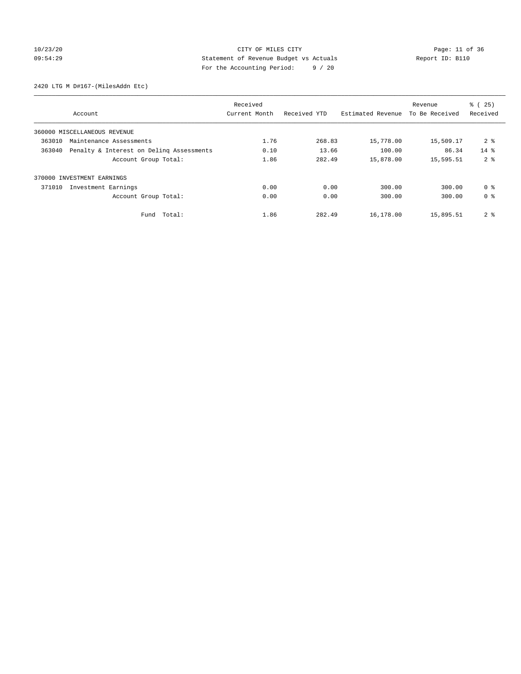# 10/23/20 Page: 11 of 36 CITY OF MILES CITY 09:54:29 Statement of Revenue Budget vs Actuals Report ID: B110 For the Accounting Period: 9 / 20

2420 LTG M D#167-(MilesAddn Etc)

|                                                    |                      | Received      |              |                   | Revenue        | % (25)         |
|----------------------------------------------------|----------------------|---------------|--------------|-------------------|----------------|----------------|
| Account                                            |                      | Current Month | Received YTD | Estimated Revenue | To Be Received | Received       |
| 360000 MISCELLANEOUS REVENUE                       |                      |               |              |                   |                |                |
| 363010<br>Maintenance Assessments                  |                      | 1.76          | 268.83       | 15,778.00         | 15,509.17      | 2 <sub>8</sub> |
| 363040<br>Penalty & Interest on Deling Assessments |                      | 0.10          | 13.66        | 100.00            | 86.34          | $14*$          |
|                                                    | Account Group Total: | 1.86          | 282.49       | 15,878.00         | 15,595.51      | 2 <sup>8</sup> |
| 370000 INVESTMENT EARNINGS                         |                      |               |              |                   |                |                |
| 371010<br>Investment Earnings                      |                      | 0.00          | 0.00         | 300.00            | 300.00         | 0 <sup>8</sup> |
|                                                    | Account Group Total: | 0.00          | 0.00         | 300.00            | 300.00         | 0 <sup>8</sup> |
|                                                    | Total:<br>Fund       | 1.86          | 282.49       | 16,178.00         | 15,895.51      | 2 <sub>8</sub> |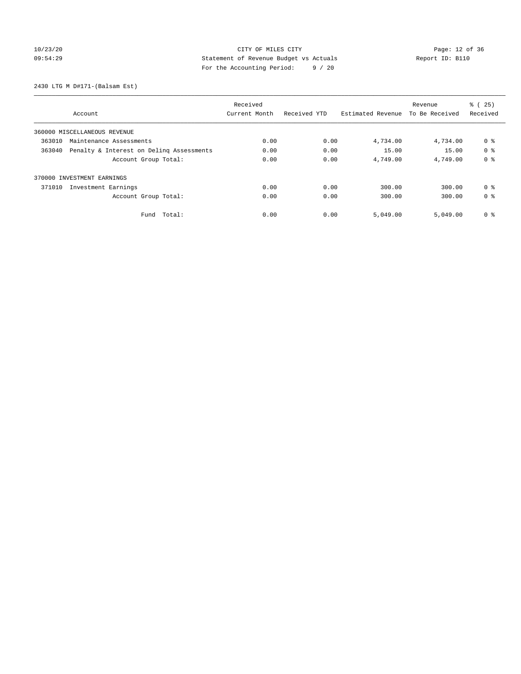# 10/23/20 Page: 12 of 36 CITY OF MILES CITY 09:54:29 Statement of Revenue Budget vs Actuals Report ID: B110 For the Accounting Period: 9 / 20

2430 LTG M D#171-(Balsam Est)

|                                                    | Received      |              |                   | Revenue        | % (25)         |
|----------------------------------------------------|---------------|--------------|-------------------|----------------|----------------|
| Account                                            | Current Month | Received YTD | Estimated Revenue | To Be Received | Received       |
| 360000 MISCELLANEOUS REVENUE                       |               |              |                   |                |                |
| 363010<br>Maintenance Assessments                  | 0.00          | 0.00         | 4,734.00          | 4,734.00       | 0 %            |
| 363040<br>Penalty & Interest on Deling Assessments | 0.00          | 0.00         | 15.00             | 15.00          | 0 <sup>8</sup> |
| Account Group Total:                               | 0.00          | 0.00         | 4,749.00          | 4,749.00       | 0 <sup>8</sup> |
| 370000 INVESTMENT EARNINGS                         |               |              |                   |                |                |
| 371010<br>Investment Earnings                      | 0.00          | 0.00         | 300.00            | 300.00         | 0 <sup>8</sup> |
| Account Group Total:                               | 0.00          | 0.00         | 300.00            | 300.00         | 0 <sup>8</sup> |
| Total:<br>Fund                                     | 0.00          | 0.00         | 5,049.00          | 5,049.00       | 0 <sup>8</sup> |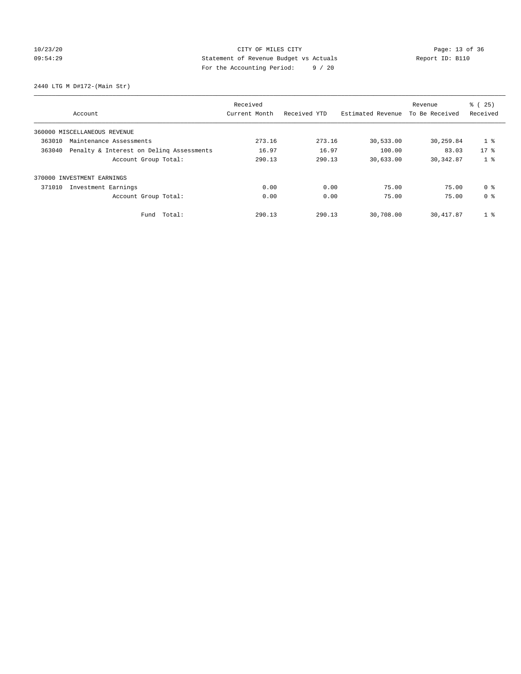# 10/23/20 Page: 13 of 36 CITY OF MILES CITY 09:54:29 Statement of Revenue Budget vs Actuals Report ID: B110 For the Accounting Period: 9 / 20

2440 LTG M D#172-(Main Str)

|        |                                          | Received      |              |                   | Revenue        | % (25)         |
|--------|------------------------------------------|---------------|--------------|-------------------|----------------|----------------|
|        | Account                                  | Current Month | Received YTD | Estimated Revenue | To Be Received | Received       |
|        | 360000 MISCELLANEOUS REVENUE             |               |              |                   |                |                |
| 363010 | Maintenance Assessments                  | 273.16        | 273.16       | 30,533.00         | 30,259.84      | $1$ %          |
| 363040 | Penalty & Interest on Deling Assessments | 16.97         | 16.97        | 100.00            | 83.03          | $17*$          |
|        | Account Group Total:                     | 290.13        | 290.13       | 30,633.00         | 30, 342.87     | 1 <sub>8</sub> |
|        | 370000 INVESTMENT EARNINGS               |               |              |                   |                |                |
| 371010 | Investment Earnings                      | 0.00          | 0.00         | 75.00             | 75.00          | 0 <sup>8</sup> |
|        | Account Group Total:                     | 0.00          | 0.00         | 75.00             | 75.00          | 0 <sup>8</sup> |
|        | Fund Total:                              | 290.13        | 290.13       | 30,708.00         | 30, 417.87     | 1 <sup>°</sup> |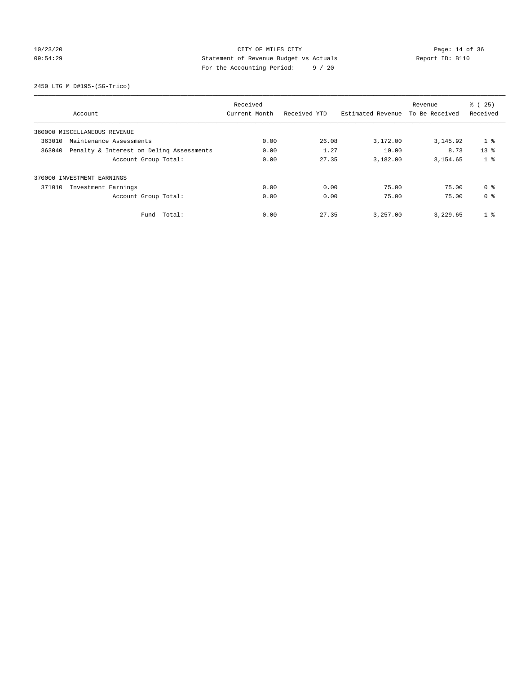# 10/23/20 Page: 14 of 36 CITY OF MILES CITY 09:54:29 Statement of Revenue Budget vs Actuals Report ID: B110 For the Accounting Period: 9 / 20

2450 LTG M D#195-(SG-Trico)

| Received |                                          |               |              |                   | Revenue        | % (25)         |
|----------|------------------------------------------|---------------|--------------|-------------------|----------------|----------------|
|          | Account                                  | Current Month | Received YTD | Estimated Revenue | To Be Received | Received       |
|          | 360000 MISCELLANEOUS REVENUE             |               |              |                   |                |                |
| 363010   | Maintenance Assessments                  | 0.00          | 26.08        | 3,172.00          | 3, 145.92      | 1 <sub>8</sub> |
| 363040   | Penalty & Interest on Deling Assessments | 0.00          | 1.27         | 10.00             | 8.73           | $13*$          |
|          | Account Group Total:                     | 0.00          | 27.35        | 3,182.00          | 3,154.65       | 1 <sub>8</sub> |
|          | 370000 INVESTMENT EARNINGS               |               |              |                   |                |                |
| 371010   | Investment Earnings                      | 0.00          | 0.00         | 75.00             | 75.00          | 0 <sup>8</sup> |
|          | Account Group Total:                     | 0.00          | 0.00         | 75.00             | 75.00          | 0 <sup>8</sup> |
|          | Fund Total:                              | 0.00          | 27.35        | 3,257.00          | 3,229.65       | 1 <sup>°</sup> |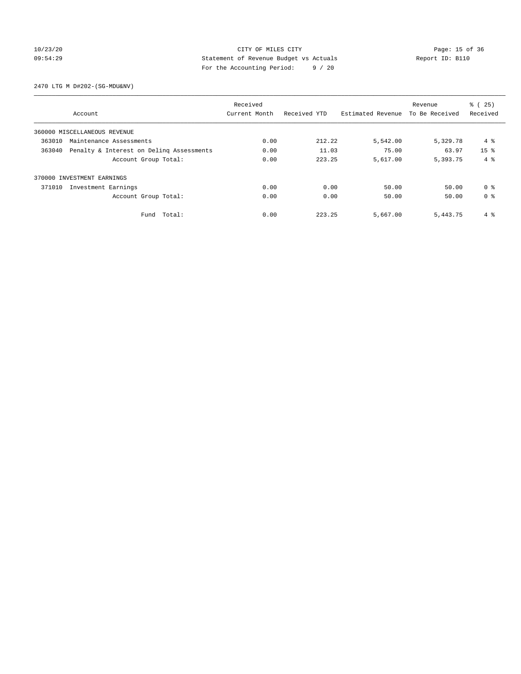# 10/23/20 Page: 15 of 36 CITY OF MILES CITY 09:54:29 Statement of Revenue Budget vs Actuals Report ID: B110 For the Accounting Period: 9 / 20

2470 LTG M D#202-(SG-MDU&NV)

|        |                                          | Received      |              | % (25)<br>Revenue |                |                 |
|--------|------------------------------------------|---------------|--------------|-------------------|----------------|-----------------|
|        | Account                                  | Current Month | Received YTD | Estimated Revenue | To Be Received | Received        |
|        | 360000 MISCELLANEOUS REVENUE             |               |              |                   |                |                 |
| 363010 | Maintenance Assessments                  | 0.00          | 212.22       | 5,542.00          | 5,329.78       | 4 %             |
| 363040 | Penalty & Interest on Deling Assessments | 0.00          | 11.03        | 75.00             | 63.97          | 15 <sup>8</sup> |
|        | Account Group Total:                     | 0.00          | 223.25       | 5,617.00          | 5,393.75       | $4 \text{ }$    |
|        | 370000 INVESTMENT EARNINGS               |               |              |                   |                |                 |
| 371010 | Investment Earnings                      | 0.00          | 0.00         | 50.00             | 50.00          | 0 <sup>8</sup>  |
|        | Account Group Total:                     | 0.00          | 0.00         | 50.00             | 50.00          | 0 <sup>8</sup>  |
|        | Fund Total:                              | 0.00          | 223.25       | 5,667.00          | 5,443.75       | 4 %             |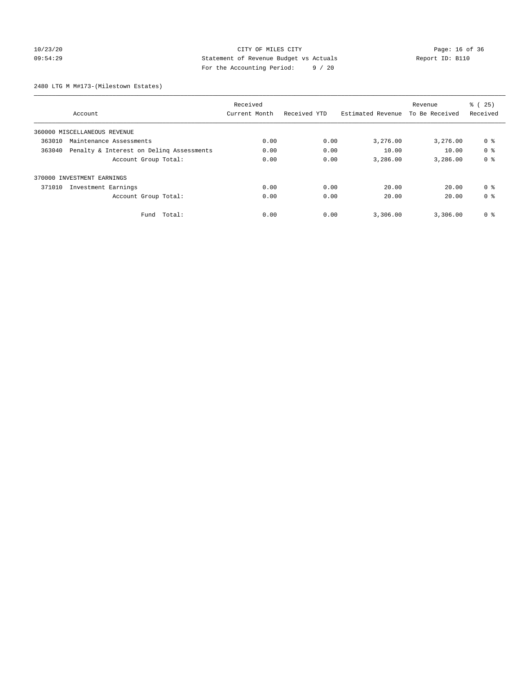# 10/23/20 Page: 16 of 36 CITY OF MILES CITY 09:54:29 Statement of Revenue Budget vs Actuals Report ID: B110 For the Accounting Period: 9 / 20

2480 LTG M M#173-(Milestown Estates)

|        |                                          | Received      |              |                   | Revenue        | % (25)         |
|--------|------------------------------------------|---------------|--------------|-------------------|----------------|----------------|
|        | Account                                  | Current Month | Received YTD | Estimated Revenue | To Be Received | Received       |
|        | 360000 MISCELLANEOUS REVENUE             |               |              |                   |                |                |
| 363010 | Maintenance Assessments                  | 0.00          | 0.00         | 3,276.00          | 3,276.00       | 0 %            |
| 363040 | Penalty & Interest on Deling Assessments | 0.00          | 0.00         | 10.00             | 10.00          | 0 <sup>8</sup> |
|        | Account Group Total:                     | 0.00          | 0.00         | 3,286.00          | 3,286.00       | 0 <sup>8</sup> |
|        | 370000 INVESTMENT EARNINGS               |               |              |                   |                |                |
| 371010 | Investment Earnings                      | 0.00          | 0.00         | 20.00             | 20.00          | 0 <sup>8</sup> |
|        | Account Group Total:                     | 0.00          | 0.00         | 20.00             | 20.00          | 0 <sup>8</sup> |
|        | Fund Total:                              | 0.00          | 0.00         | 3,306.00          | 3,306.00       | 0 %            |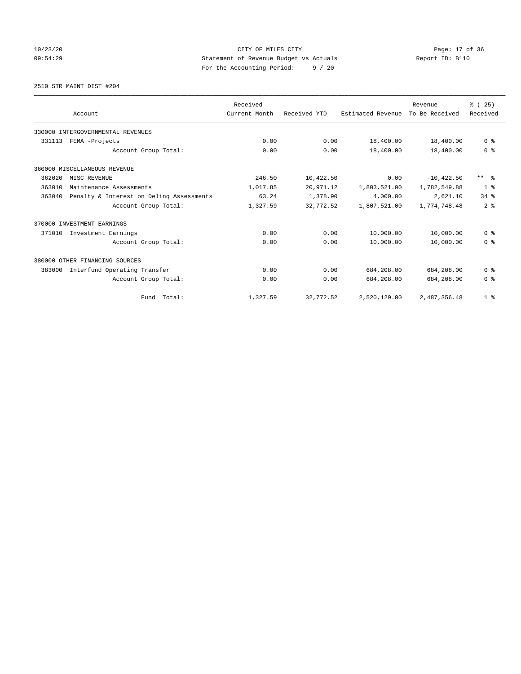# 10/23/20 Page: 17 of 36 CITY OF MILES CITY 09:54:29 Statement of Revenue Budget vs Actuals Report ID: B110 For the Accounting Period: 9 / 20

2510 STR MAINT DIST #204

|        |                                          | Received      |              |                   | Revenue        | % (25)         |
|--------|------------------------------------------|---------------|--------------|-------------------|----------------|----------------|
|        | Account                                  | Current Month | Received YTD | Estimated Revenue | To Be Received | Received       |
|        | 330000 INTERGOVERNMENTAL REVENUES        |               |              |                   |                |                |
| 331113 | FEMA -Projects                           | 0.00          | 0.00         | 18,400.00         | 18,400.00      | 0 <sup>8</sup> |
|        | Account Group Total:                     | 0.00          | 0.00         | 18,400.00         | 18,400.00      | 0 <sup>8</sup> |
|        | 360000 MISCELLANEOUS REVENUE             |               |              |                   |                |                |
| 362020 | MISC REVENUE                             | 246.50        | 10,422.50    | 0.00              | $-10, 422.50$  | $***$ $=$      |
| 363010 | Maintenance Assessments                  | 1,017.85      | 20,971.12    | 1,803,521.00      | 1,782,549.88   | 1 <sup>8</sup> |
| 363040 | Penalty & Interest on Deling Assessments | 63.24         | 1,378.90     | 4,000.00          | 2,621.10       | 34.8           |
|        | Account Group Total:                     | 1,327.59      | 32,772.52    | 1,807,521.00      | 1,774,748.48   | 2 <sup>8</sup> |
|        | 370000 INVESTMENT EARNINGS               |               |              |                   |                |                |
| 371010 | Investment Earnings                      | 0.00          | 0.00         | 10,000.00         | 10,000.00      | 0 <sup>8</sup> |
|        | Account Group Total:                     | 0.00          | 0.00         | 10,000.00         | 10,000.00      | 0 <sup>8</sup> |
|        | 380000 OTHER FINANCING SOURCES           |               |              |                   |                |                |
| 383000 | Interfund Operating Transfer             | 0.00          | 0.00         | 684,208.00        | 684,208.00     | 0 <sup>8</sup> |
|        | Account Group Total:                     | 0.00          | 0.00         | 684,208.00        | 684,208.00     | 0 <sup>8</sup> |
|        | Fund Total:                              | 1,327.59      | 32,772.52    | 2,520,129.00      | 2,487,356.48   | 1 <sup>8</sup> |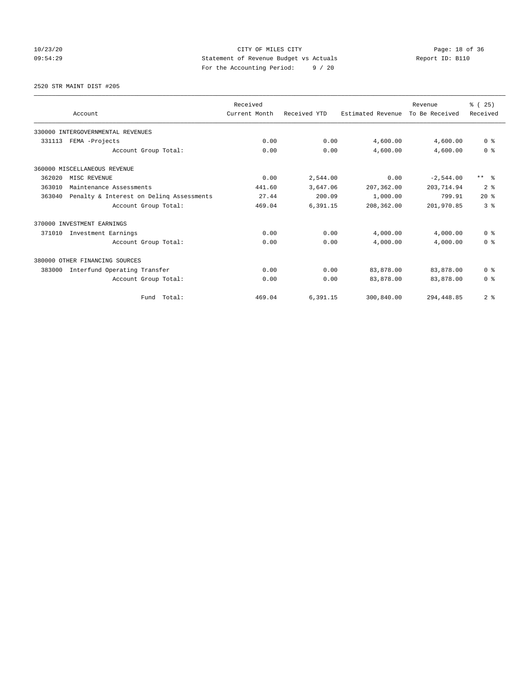# 10/23/20 Page: 18 of 36 CITY OF MILES CITY 09:54:29 Statement of Revenue Budget vs Actuals Report ID: B110 For the Accounting Period: 9 / 20

2520 STR MAINT DIST #205

|        |                                          | Received      |              |                   | Revenue        | % (25)              |
|--------|------------------------------------------|---------------|--------------|-------------------|----------------|---------------------|
|        | Account                                  | Current Month | Received YTD | Estimated Revenue | To Be Received | Received            |
|        | 330000 INTERGOVERNMENTAL REVENUES        |               |              |                   |                |                     |
| 331113 | FEMA -Projects                           | 0.00          | 0.00         | 4,600.00          | 4,600.00       | 0 <sup>8</sup>      |
|        | Account Group Total:                     | 0.00          | 0.00         | 4,600.00          | 4,600.00       | 0 <sup>8</sup>      |
|        | 360000 MISCELLANEOUS REVENUE             |               |              |                   |                |                     |
| 362020 | MISC REVENUE                             | 0.00          | 2,544.00     | 0.00              | $-2,544.00$    | $***$ $\frac{6}{5}$ |
| 363010 | Maintenance Assessments                  | 441.60        | 3,647.06     | 207,362.00        | 203, 714.94    | 2 <sup>8</sup>      |
| 363040 | Penalty & Interest on Deling Assessments | 27.44         | 200.09       | 1,000.00          | 799.91         | $20*$               |
|        | Account Group Total:                     | 469.04        | 6,391.15     | 208,362.00        | 201,970.85     | 3 <sup>8</sup>      |
|        | 370000 INVESTMENT EARNINGS               |               |              |                   |                |                     |
| 371010 | Investment Earnings                      | 0.00          | 0.00         | 4,000.00          | 4,000.00       | 0 <sup>8</sup>      |
|        | Account Group Total:                     | 0.00          | 0.00         | 4,000.00          | 4,000.00       | 0 <sup>8</sup>      |
|        | 380000 OTHER FINANCING SOURCES           |               |              |                   |                |                     |
| 383000 | Interfund Operating Transfer             | 0.00          | 0.00         | 83,878.00         | 83,878.00      | 0 <sup>8</sup>      |
|        | Account Group Total:                     | 0.00          | 0.00         | 83,878.00         | 83,878.00      | 0 <sup>8</sup>      |
|        | Total:<br>Fund                           | 469.04        | 6,391.15     | 300,840.00        | 294,448.85     | 2 <sup>8</sup>      |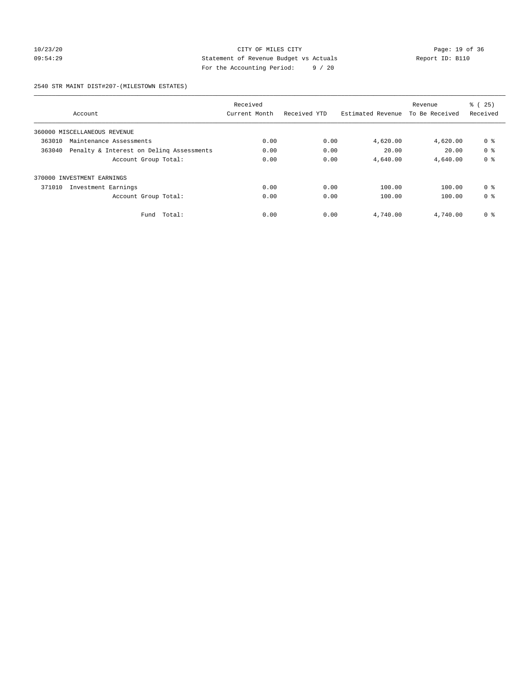# 10/23/20 Page: 19 of 36 CITY OF MILES CITY 09:54:29 Statement of Revenue Budget vs Actuals Report ID: B110 For the Accounting Period: 9 / 20

#### 2540 STR MAINT DIST#207-(MILESTOWN ESTATES)

|        |                                          | Received      |              |                   | Revenue        | % (25)         |
|--------|------------------------------------------|---------------|--------------|-------------------|----------------|----------------|
|        | Account                                  | Current Month | Received YTD | Estimated Revenue | To Be Received | Received       |
|        | 360000 MISCELLANEOUS REVENUE             |               |              |                   |                |                |
| 363010 | Maintenance Assessments                  | 0.00          | 0.00         | 4,620.00          | 4,620.00       | 0 <sup>8</sup> |
| 363040 | Penalty & Interest on Deling Assessments | 0.00          | 0.00         | 20.00             | 20.00          | 0 <sup>8</sup> |
|        | Account Group Total:                     | 0.00          | 0.00         | 4,640.00          | 4,640.00       | 0 <sup>8</sup> |
| 370000 | INVESTMENT EARNINGS                      |               |              |                   |                |                |
| 371010 | Investment Earnings                      | 0.00          | 0.00         | 100.00            | 100.00         | 0 <sup>8</sup> |
|        | Account Group Total:                     | 0.00          | 0.00         | 100.00            | 100.00         | 0 <sup>8</sup> |
|        | Total:<br>Fund                           | 0.00          | 0.00         | 4,740.00          | 4,740.00       | 0 <sup>8</sup> |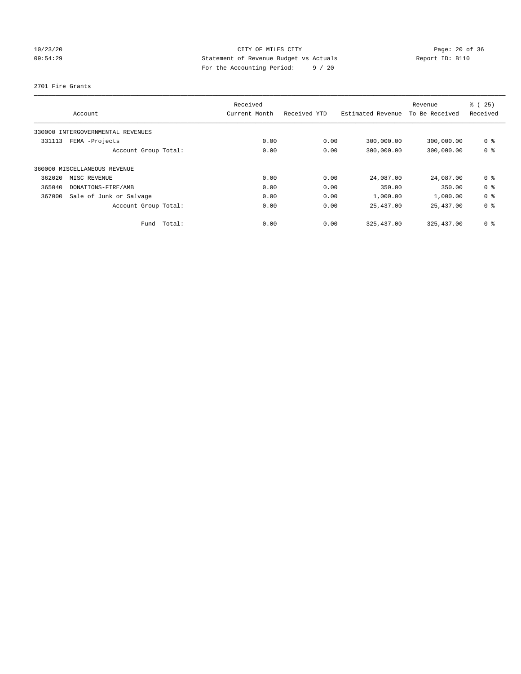# 10/23/20 Page: 20 of 36 CITY OF MILES CITY CHE CITY PAGE: 20 of 36 09:54:29 Statement of Revenue Budget vs Actuals Report ID: B110 For the Accounting Period: 9 / 20

2701 Fire Grants

| Account                           | Received<br>Current Month |      | Received YTD | Estimated Revenue | Revenue<br>To Be Received | % (25)<br>Received |
|-----------------------------------|---------------------------|------|--------------|-------------------|---------------------------|--------------------|
| 330000 INTERGOVERNMENTAL REVENUES |                           |      |              |                   |                           |                    |
| FEMA -Projects<br>331113          |                           | 0.00 | 0.00         | 300,000.00        | 300,000.00                | 0 <sup>8</sup>     |
| Account Group Total:              |                           | 0.00 | 0.00         | 300,000.00        | 300,000.00                | 0 <sup>8</sup>     |
| 360000 MISCELLANEOUS REVENUE      |                           |      |              |                   |                           |                    |
| 362020<br>MISC REVENUE            |                           | 0.00 | 0.00         | 24,087.00         | 24,087.00                 | 0 <sup>8</sup>     |
| 365040<br>DONATIONS-FIRE/AMB      |                           | 0.00 | 0.00         | 350.00            | 350.00                    | 0 <sup>8</sup>     |
| Sale of Junk or Salvage<br>367000 |                           | 0.00 | 0.00         | 1,000.00          | 1,000.00                  | 0 <sup>8</sup>     |
| Account Group Total:              |                           | 0.00 | 0.00         | 25,437.00         | 25,437.00                 | 0 <sup>8</sup>     |
| Fund                              | Total:                    | 0.00 | 0.00         | 325, 437.00       | 325, 437.00               | 0 <sup>8</sup>     |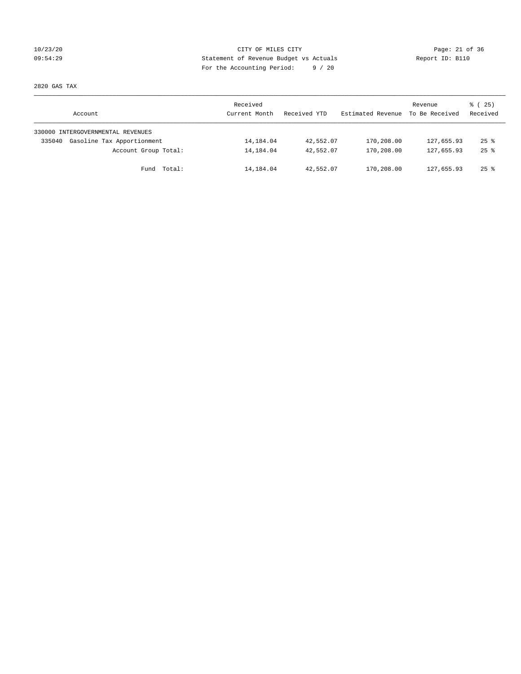# 10/23/20 Page: 21 of 36 CITY OF MILES CITY CHE PAGE: 21 of 36 09:54:29 Statement of Revenue Budget vs Actuals Report ID: B110 For the Accounting Period: 9 / 20

2820 GAS TAX

| Account                              | Received<br>Current Month | Received YTD | Estimated Revenue | Revenue<br>To Be Received | $\frac{1}{6}$ ( 25)<br>Received |
|--------------------------------------|---------------------------|--------------|-------------------|---------------------------|---------------------------------|
| 330000 INTERGOVERNMENTAL REVENUES    |                           |              |                   |                           |                                 |
| Gasoline Tax Apportionment<br>335040 | 14,184.04                 | 42,552.07    | 170,208.00        | 127,655.93                | $25$ $\frac{6}{5}$              |
| Account Group Total:                 | 14,184.04                 | 42,552.07    | 170,208.00        | 127,655.93                | $25$ $\frac{6}{5}$              |
| Fund Total:                          | 14,184.04                 | 42,552.07    | 170,208.00        | 127,655.93                | $25$ $\frac{6}{5}$              |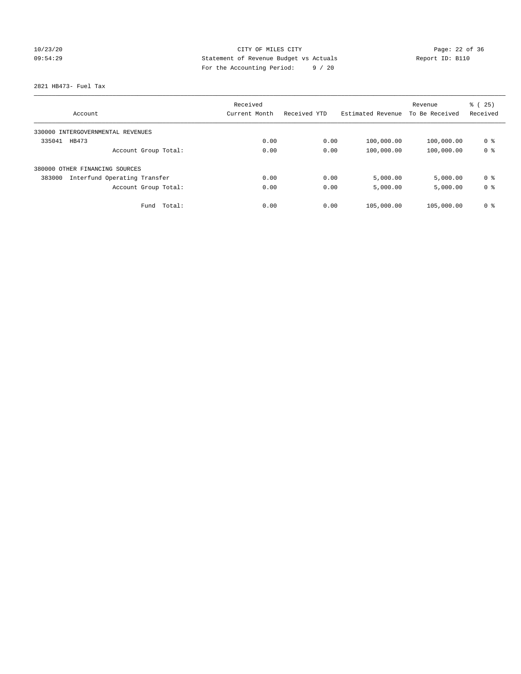# 10/23/20 Page: 22 of 36 09:54:29 Statement of Revenue Budget vs Actuals Report ID: B110 For the Accounting Period: 9 / 20

2821 HB473- Fuel Tax

|                                        | Received      |              |                   | Revenue        | % (25)         |
|----------------------------------------|---------------|--------------|-------------------|----------------|----------------|
| Account                                | Current Month | Received YTD | Estimated Revenue | To Be Received | Received       |
| 330000 INTERGOVERNMENTAL REVENUES      |               |              |                   |                |                |
| 335041<br>HB473                        | 0.00          | 0.00         | 100,000.00        | 100,000.00     | 0 %            |
| Account Group Total:                   | 0.00          | 0.00         | 100,000.00        | 100,000.00     | 0 <sup>8</sup> |
| 380000 OTHER FINANCING SOURCES         |               |              |                   |                |                |
| 383000<br>Interfund Operating Transfer | 0.00          | 0.00         | 5,000.00          | 5,000.00       | 0 <sup>8</sup> |
| Account Group Total:                   | 0.00          | 0.00         | 5,000.00          | 5,000.00       | 0 <sup>8</sup> |
| Total:<br>Fund                         | 0.00          | 0.00         | 105,000.00        | 105,000.00     | 0 <sup>8</sup> |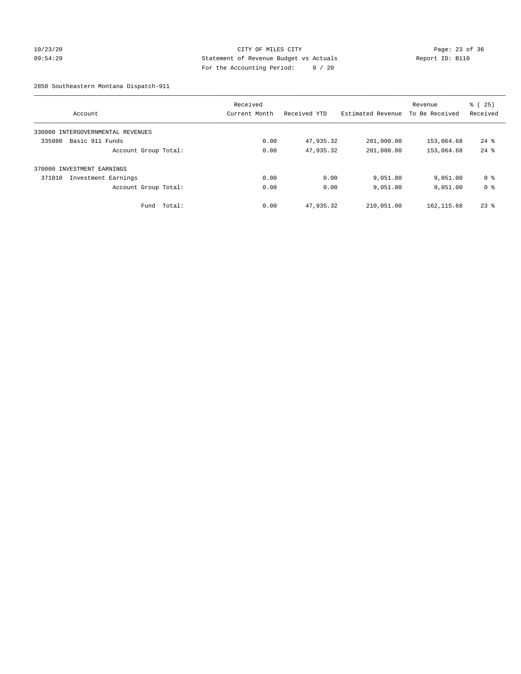# 10/23/20 Page: 23 of 36 09:54:29 Statement of Revenue Budget vs Actuals Report ID: B110 For the Accounting Period: 9 / 20

2850 Southeastern Montana Dispatch-911

|                                      | Received      |              |                   | Revenue        | % (25)             |
|--------------------------------------|---------------|--------------|-------------------|----------------|--------------------|
| Account                              | Current Month | Received YTD | Estimated Revenue | To Be Received | Received           |
| INTERGOVERNMENTAL REVENUES<br>330000 |               |              |                   |                |                    |
| Basic 911 Funds<br>335080            | 0.00          | 47,935.32    | 201,000.00        | 153,064.68     | $24$ $\frac{6}{3}$ |
| Account Group Total:                 | 0.00          | 47,935.32    | 201,000.00        | 153,064.68     | $24$ $%$           |
| 370000 INVESTMENT EARNINGS           |               |              |                   |                |                    |
| 371010<br>Investment Earnings        | 0.00          | 0.00         | 9,051.00          | 9,051.00       | 0 ક                |
| Account Group Total:                 | 0.00          | 0.00         | 9,051.00          | 9,051.00       | 0 <sup>8</sup>     |
| Total:<br>Fund                       | 0.00          | 47,935.32    | 210,051.00        | 162, 115.68    | $23*$              |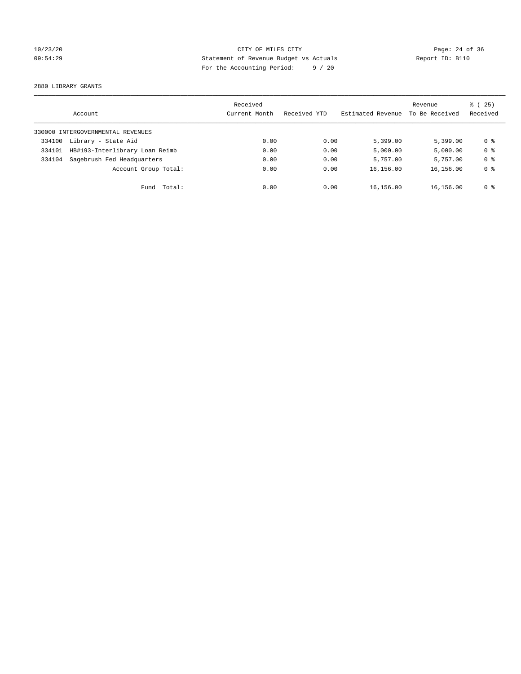# 10/23/20 Page: 24 of 36 09:54:29 Statement of Revenue Budget vs Actuals Report ID: B110 For the Accounting Period: 9 / 20

2880 LIBRARY GRANTS

|        | Account                           | Received<br>Current Month | Received YTD | Estimated Revenue | Revenue<br>To Be Received | % (25)<br>Received |
|--------|-----------------------------------|---------------------------|--------------|-------------------|---------------------------|--------------------|
|        | 330000 INTERGOVERNMENTAL REVENUES |                           |              |                   |                           |                    |
| 334100 | Library - State Aid               | 0.00                      | 0.00         | 5,399.00          | 5.399.00                  | 0 %                |
| 334101 | HB#193-Interlibrary Loan Reimb    | 0.00                      | 0.00         | 5,000.00          | 5,000.00                  | 0 <sup>8</sup>     |
| 334104 | Sagebrush Fed Headquarters        | 0.00                      | 0.00         | 5,757.00          | 5,757.00                  | 0 <sup>8</sup>     |
|        | Account Group Total:              | 0.00                      | 0.00         | 16,156.00         | 16,156.00                 | 0 <sup>8</sup>     |
|        | Fund Total:                       | 0.00                      | 0.00         | 16,156.00         | 16,156.00                 | 0 %                |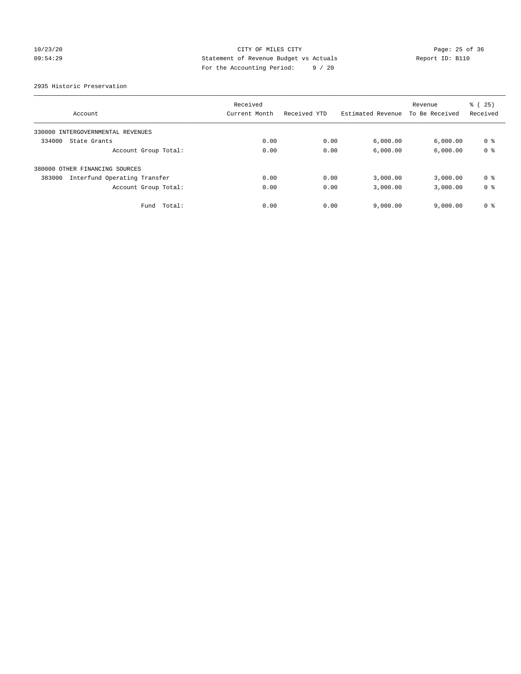# 10/23/20 Page: 25 of 36 CITY OF MILES CITY 09:54:29 Statement of Revenue Budget vs Actuals Report ID: B110 For the Accounting Period: 9 / 20

2935 Historic Preservation

|                                        | Received      |              |                   | Revenue        | % (25)         |
|----------------------------------------|---------------|--------------|-------------------|----------------|----------------|
| Account                                | Current Month | Received YTD | Estimated Revenue | To Be Received | Received       |
| 330000 INTERGOVERNMENTAL REVENUES      |               |              |                   |                |                |
| 334000<br>State Grants                 | 0.00          | 0.00         | 6,000.00          | 6,000.00       | 0 %            |
| Account Group Total:                   | 0.00          | 0.00         | 6,000.00          | 6,000.00       | 0 <sup>8</sup> |
| 380000 OTHER FINANCING SOURCES         |               |              |                   |                |                |
| Interfund Operating Transfer<br>383000 | 0.00          | 0.00         | 3,000.00          | 3,000.00       | 0 <sup>8</sup> |
| Account Group Total:                   | 0.00          | 0.00         | 3,000.00          | 3,000.00       | 0 <sup>8</sup> |
| Total:<br>Fund                         | 0.00          | 0.00         | 9,000.00          | 9.000.00       | 0 <sup>8</sup> |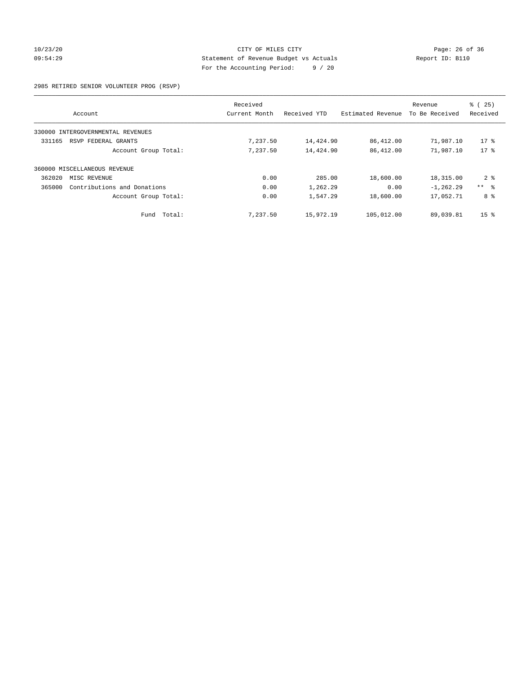# 10/23/20 Page: 26 of 36 CITY OF MILES CITY 09:54:29 Statement of Revenue Budget vs Actuals Report ID: B110 For the Accounting Period: 9 / 20

2985 RETIRED SENIOR VOLUNTEER PROG (RSVP)

|                              |                                   | Received      |              |                   | Revenue        | % (25)          |
|------------------------------|-----------------------------------|---------------|--------------|-------------------|----------------|-----------------|
| Account                      |                                   | Current Month | Received YTD | Estimated Revenue | To Be Received | Received        |
|                              | 330000 INTERGOVERNMENTAL REVENUES |               |              |                   |                |                 |
| 331165                       | RSVP FEDERAL GRANTS               | 7,237.50      | 14,424.90    | 86,412.00         | 71,987.10      | $17$ %          |
|                              | Account Group Total:              | 7,237.50      | 14,424.90    | 86,412.00         | 71,987.10      | $17*$           |
| 360000 MISCELLANEOUS REVENUE |                                   |               |              |                   |                |                 |
| 362020                       | MISC REVENUE                      | 0.00          | 285.00       | 18,600.00         | 18,315.00      | $2 \div$        |
| 365000                       | Contributions and Donations       | 0.00          | 1,262.29     | 0.00              | $-1, 262.29$   | $***$ $ -$      |
|                              | Account Group Total:              | 0.00          | 1,547.29     | 18,600.00         | 17,052.71      | 8 %             |
|                              | Total:<br>Fund                    | 7,237.50      | 15,972.19    | 105,012.00        | 89,039.81      | 15 <sup>8</sup> |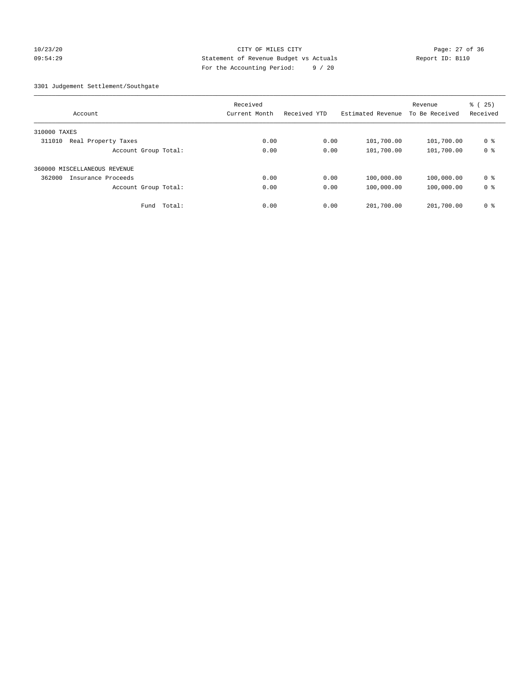# 10/23/20 Page: 27 of 36 CITY OF MILES CITY 09:54:29 Statement of Revenue Budget vs Actuals Report ID: B110 For the Accounting Period: 9 / 20

3301 Judgement Settlement/Southgate

| Account                       | Received<br>Current Month | Received YTD | Estimated Revenue | Revenue<br>To Be Received | % (25)<br>Received |
|-------------------------------|---------------------------|--------------|-------------------|---------------------------|--------------------|
| 310000 TAXES                  |                           |              |                   |                           |                    |
| 311010<br>Real Property Taxes | 0.00                      | 0.00         | 101,700.00        | 101,700.00                | 0 %                |
| Account Group Total:          | 0.00                      | 0.00         | 101,700.00        | 101,700.00                | 0 <sup>8</sup>     |
| 360000 MISCELLANEOUS REVENUE  |                           |              |                   |                           |                    |
| 362000<br>Insurance Proceeds  | 0.00                      | 0.00         | 100,000.00        | 100,000.00                | 0 <sup>8</sup>     |
| Account Group Total:          | 0.00                      | 0.00         | 100,000.00        | 100,000.00                | 0 <sup>8</sup>     |
| Fund Total:                   | 0.00                      | 0.00         | 201,700.00        | 201,700.00                | 0 <sup>8</sup>     |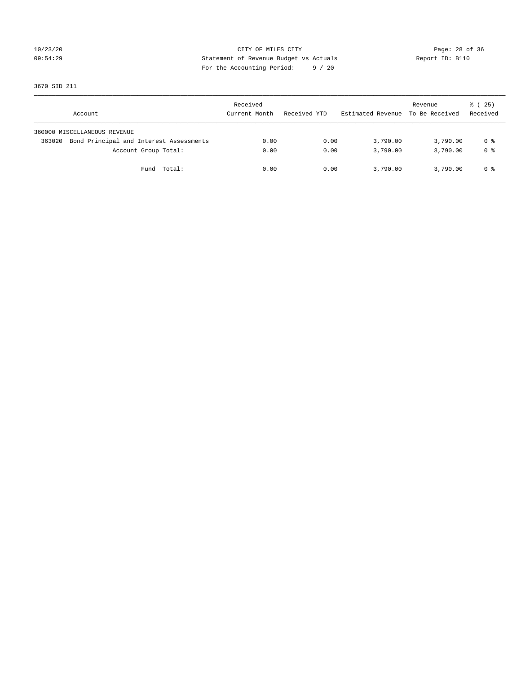# 10/23/20 Page: 28 of 36 09:54:29 Statement of Revenue Budget vs Actuals Report ID: B110 For the Accounting Period: 9 / 20

3670 SID 211

| Account                                           | Received<br>Current Month | Received YTD | Estimated Revenue | Revenue<br>To Be Received | $\frac{1}{6}$ ( 25)<br>Received |
|---------------------------------------------------|---------------------------|--------------|-------------------|---------------------------|---------------------------------|
| 360000 MISCELLANEOUS REVENUE                      |                           |              |                   |                           |                                 |
| Bond Principal and Interest Assessments<br>363020 | 0.00                      | 0.00         | 3,790.00          | 3,790.00                  | 0 %                             |
| Account Group Total:                              | 0.00                      | 0.00         | 3,790.00          | 3,790.00                  | 0 <sup>8</sup>                  |
| Fund Total:                                       | 0.00                      | 0.00         | 3,790.00          | 3,790.00                  | 0 %                             |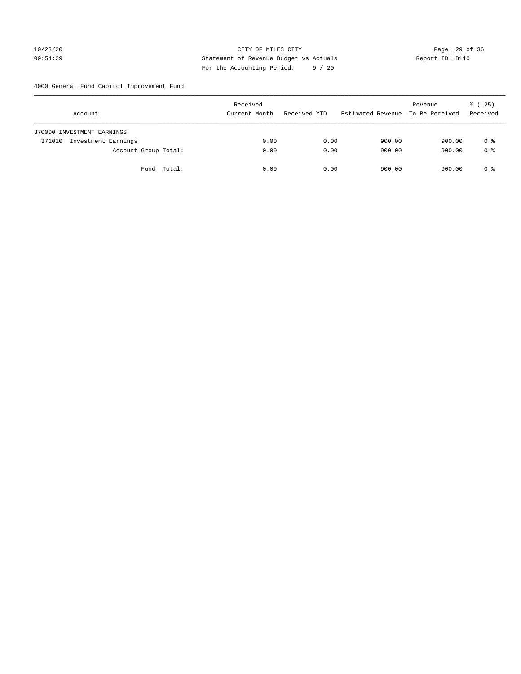# 10/23/20 Page: 29 of 36 09:54:29 Statement of Revenue Budget vs Actuals Report ID: B110 For the Accounting Period: 9 / 20

4000 General Fund Capitol Improvement Fund

| Account                       | Received<br>Current Month | Received YTD | Estimated Revenue | Revenue<br>To Be Received | % (25)<br>Received |
|-------------------------------|---------------------------|--------------|-------------------|---------------------------|--------------------|
| 370000 INVESTMENT EARNINGS    |                           |              |                   |                           |                    |
| Investment Earnings<br>371010 | 0.00                      | 0.00         | 900.00            | 900.00                    | 0 %                |
| Account Group Total:          | 0.00                      | 0.00         | 900.00            | 900.00                    | 0 <sup>8</sup>     |
| Fund Total:                   | 0.00                      | 0.00         | 900.00            | 900.00                    | 0 %                |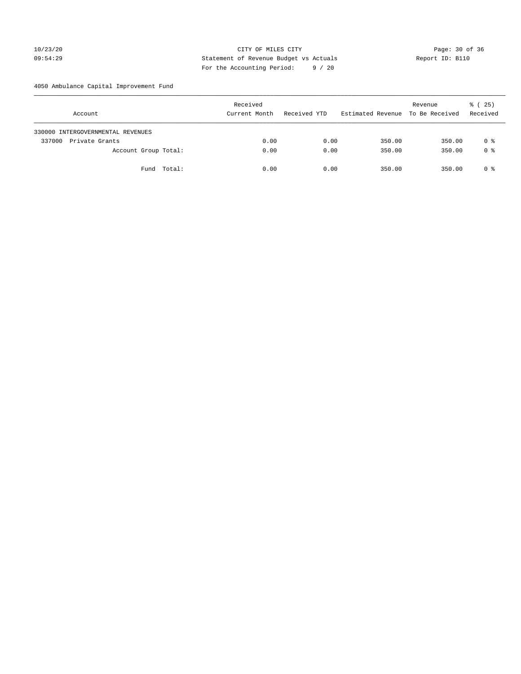# 10/23/20 Page: 30 of 36 CITY OF MILES CITY 09:54:29 Statement of Revenue Budget vs Actuals Report ID: B110 For the Accounting Period: 9 / 20

4050 Ambulance Capital Improvement Fund

| Account                           | Received<br>Current Month | Received YTD | Estimated Revenue | Revenue<br>To Be Received | $\frac{1}{6}$ ( 25)<br>Received |
|-----------------------------------|---------------------------|--------------|-------------------|---------------------------|---------------------------------|
| 330000 INTERGOVERNMENTAL REVENUES |                           |              |                   |                           |                                 |
| 337000<br>Private Grants          | 0.00                      | 0.00         | 350.00            | 350.00                    | 0 %                             |
| Account Group Total:              | 0.00                      | 0.00         | 350.00            | 350.00                    | 0 <sup>8</sup>                  |
| Fund Total:                       | 0.00                      | 0.00         | 350.00            | 350.00                    | 0 %                             |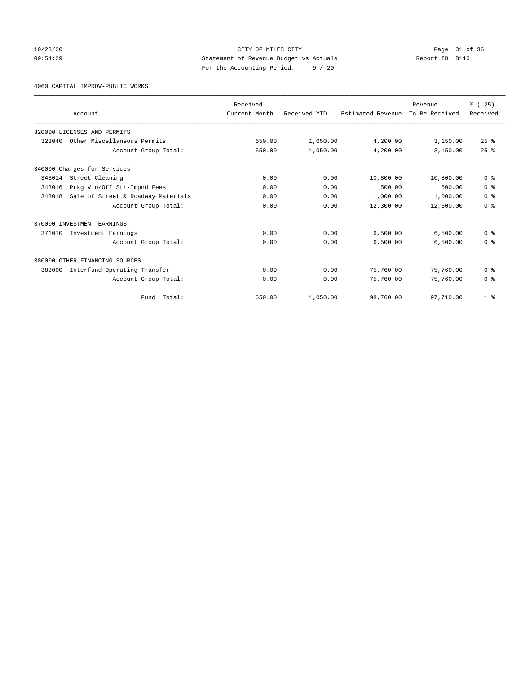# 10/23/20 Page: 31 of 36 CITY OF MILES CITY 09:54:29 Statement of Revenue Budget vs Actuals Report ID: B110 For the Accounting Period: 9 / 20

4060 CAPITAL IMPROV-PUBLIC WORKS

|        |                                    | Received      |              |                   | Revenue        | % (25)         |
|--------|------------------------------------|---------------|--------------|-------------------|----------------|----------------|
|        | Account                            | Current Month | Received YTD | Estimated Revenue | To Be Received | Received       |
|        | 320000 LICENSES AND PERMITS        |               |              |                   |                |                |
| 323040 | Other Miscellaneous Permits        | 650.00        | 1,050.00     | 4,200.00          | 3,150.00       | $25$ $%$       |
|        | Account Group Total:               | 650.00        | 1,050.00     | 4,200.00          | 3,150.00       | $25$ $%$       |
|        | 340000 Charges for Services        |               |              |                   |                |                |
| 343014 | Street Cleaning                    | 0.00          | 0.00         | 10,800.00         | 10,800.00      | 0 <sup>8</sup> |
| 343016 | Prkg Vio/Off Str-Impnd Fees        | 0.00          | 0.00         | 500.00            | 500.00         | 0 <sup>8</sup> |
| 343018 | Sale of Street & Roadway Materials | 0.00          | 0.00         | 1,000.00          | 1,000.00       | 0 <sup>8</sup> |
|        | Account Group Total:               | 0.00          | 0.00         | 12,300.00         | 12,300.00      | 0 <sup>8</sup> |
|        | 370000 INVESTMENT EARNINGS         |               |              |                   |                |                |
| 371010 | Investment Earnings                | 0.00          | 0.00         | 6,500.00          | 6,500.00       | 0 <sup>8</sup> |
|        | Account Group Total:               | 0.00          | 0.00         | 6,500.00          | 6,500.00       | 0 <sup>8</sup> |
|        | 380000 OTHER FINANCING SOURCES     |               |              |                   |                |                |
| 383000 | Interfund Operating Transfer       | 0.00          | 0.00         | 75,760.00         | 75,760.00      | 0 <sup>8</sup> |
|        | Account Group Total:               | 0.00          | 0.00         | 75,760.00         | 75,760.00      | 0 <sup>8</sup> |
|        | Total:<br>Fund                     | 650.00        | 1,050.00     | 98,760.00         | 97,710.00      | 1 <sup>8</sup> |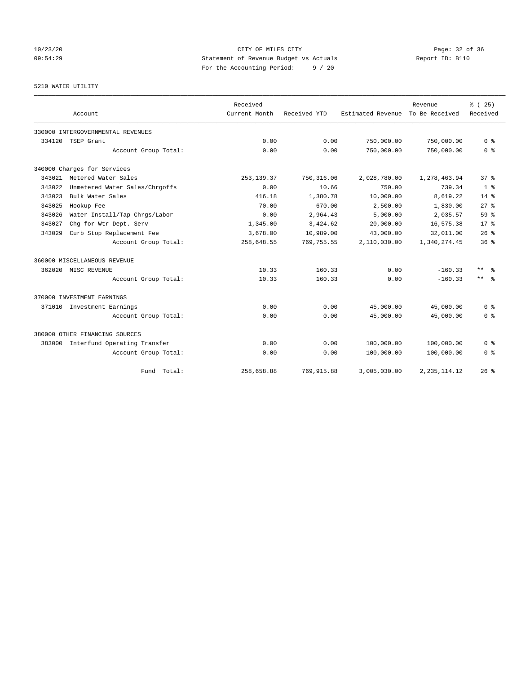# 10/23/20 Page: 32 of 36 09:54:29 Statement of Revenue Budget vs Actuals Report ID: B110 For the Accounting Period: 9 / 20

# 5210 WATER UTILITY

|                     | Account                             | Received<br>Current Month | Received YTD | Estimated Revenue | Revenue<br>To Be Received | % (25)<br>Received |
|---------------------|-------------------------------------|---------------------------|--------------|-------------------|---------------------------|--------------------|
|                     | 330000 INTERGOVERNMENTAL REVENUES   |                           |              |                   |                           |                    |
| 334120              | TSEP Grant                          | 0.00                      | 0.00         | 750,000.00        | 750,000.00                | 0 <sup>8</sup>     |
|                     | Account Group Total:                | 0.00                      | 0.00         | 750,000.00        | 750,000.00                | 0 <sup>8</sup>     |
|                     | 340000 Charges for Services         |                           |              |                   |                           |                    |
| 343021              | Metered Water Sales                 | 253, 139.37               | 750, 316.06  | 2,028,780.00      | 1,278,463.94              | 37 <sup>8</sup>    |
| 343022              | Unmetered Water Sales/Chrgoffs      | 0.00                      | 10.66        | 750.00            | 739.34                    | 1 <sup>8</sup>     |
| 343023              | Bulk Water Sales                    | 416.18                    | 1,380.78     | 10,000.00         | 8,619.22                  | $14*$              |
| 343025              | Hookup Fee                          | 70.00                     | 670.00       | 2,500.00          | 1,830.00                  | $27$ $%$           |
| 343026              | Water Install/Tap Chrgs/Labor       | 0.00                      | 2,964.43     | 5,000.00          | 2,035.57                  | 59 %               |
| 343027              | Chg for Wtr Dept. Serv              | 1,345.00                  | 3,424.62     | 20,000.00         | 16,575.38                 | 17 <sup>8</sup>    |
| 343029              | Curb Stop Replacement Fee           | 3,678.00                  | 10,989.00    | 43,000.00         | 32,011.00                 | 26%                |
|                     | Account Group Total:                | 258,648.55                | 769, 755.55  | 2,110,030.00      | 1,340,274.45              | 36%                |
|                     | 360000 MISCELLANEOUS REVENUE        |                           |              |                   |                           |                    |
| 362020 MISC REVENUE |                                     | 10.33                     | 160.33       | 0.00              | $-160.33$                 | ** *               |
|                     | Account Group Total:                | 10.33                     | 160.33       | 0.00              | $-160.33$                 | $***$ $%$          |
|                     | 370000 INVESTMENT EARNINGS          |                           |              |                   |                           |                    |
|                     | 371010 Investment Earnings          | 0.00                      | 0.00         | 45,000.00         | 45,000.00                 | 0 <sup>8</sup>     |
|                     | Account Group Total:                | 0.00                      | 0.00         | 45,000.00         | 45,000.00                 | 0 <sup>8</sup>     |
|                     | 380000 OTHER FINANCING SOURCES      |                           |              |                   |                           |                    |
|                     | 383000 Interfund Operating Transfer | 0.00                      | 0.00         | 100,000.00        | 100,000.00                | 0 <sup>8</sup>     |
|                     | Account Group Total:                | 0.00                      | 0.00         | 100,000.00        | 100,000.00                | 0 <sup>8</sup>     |
|                     | Fund Total:                         | 258,658.88                | 769,915.88   | 3,005,030.00      | 2, 235, 114.12            | 26%                |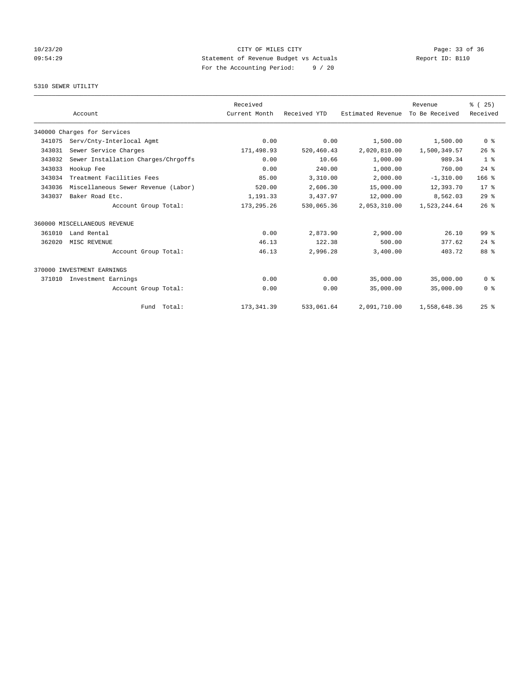# 10/23/20 Page: 33 of 36 CITY OF MILES CITY 09:54:29 Statement of Revenue Budget vs Actuals Report ID: B110 For the Accounting Period: 9 / 20

# 5310 SEWER UTILITY

|        |                                     | Received      |              |                   | Revenue        | % (25)           |
|--------|-------------------------------------|---------------|--------------|-------------------|----------------|------------------|
|        | Account                             | Current Month | Received YTD | Estimated Revenue | To Be Received | Received         |
|        | 340000 Charges for Services         |               |              |                   |                |                  |
| 341075 | Serv/Cnty-Interlocal Agmt           | 0.00          | 0.00         | 1,500.00          | 1,500.00       | 0 <sup>8</sup>   |
| 343031 | Sewer Service Charges               | 171,498.93    | 520,460.43   | 2,020,810.00      | 1,500,349.57   | 26%              |
| 343032 | Sewer Installation Charges/Chrgoffs | 0.00          | 10.66        | 1,000.00          | 989.34         | 1 <sup>8</sup>   |
| 343033 | Hookup Fee                          | 0.00          | 240.00       | 1,000.00          | 760.00         | $24$ $%$         |
| 343034 | Treatment Facilities Fees           | 85.00         | 3,310.00     | 2,000.00          | $-1, 310.00$   | 166 <sup>8</sup> |
| 343036 | Miscellaneous Sewer Revenue (Labor) | 520.00        | 2,606.30     | 15,000.00         | 12,393.70      | 17 <sup>8</sup>  |
| 343037 | Baker Road Etc.                     | 1,191.33      | 3,437.97     | 12,000.00         | 8,562.03       | 29%              |
|        | Account Group Total:                | 173, 295. 26  | 530,065.36   | 2,053,310.00      | 1,523,244.64   | 26%              |
|        | 360000 MISCELLANEOUS REVENUE        |               |              |                   |                |                  |
| 361010 | Land Rental                         | 0.00          | 2,873.90     | 2,900.00          | 26.10          | 99 <sup>8</sup>  |
| 362020 | MISC REVENUE                        | 46.13         | 122.38       | 500.00            | 377.62         | $24$ $%$         |
|        | Account Group Total:                | 46.13         | 2,996.28     | 3,400.00          | 403.72         | 88 %             |
|        | 370000 INVESTMENT EARNINGS          |               |              |                   |                |                  |
| 371010 | Investment Earnings                 | 0.00          | 0.00         | 35,000.00         | 35,000.00      | 0 <sup>8</sup>   |
|        | Account Group Total:                | 0.00          | 0.00         | 35,000.00         | 35,000.00      | 0 <sup>8</sup>   |
|        | Fund Total:                         | 173, 341.39   | 533,061.64   | 2,091,710.00      | 1,558,648.36   | 25%              |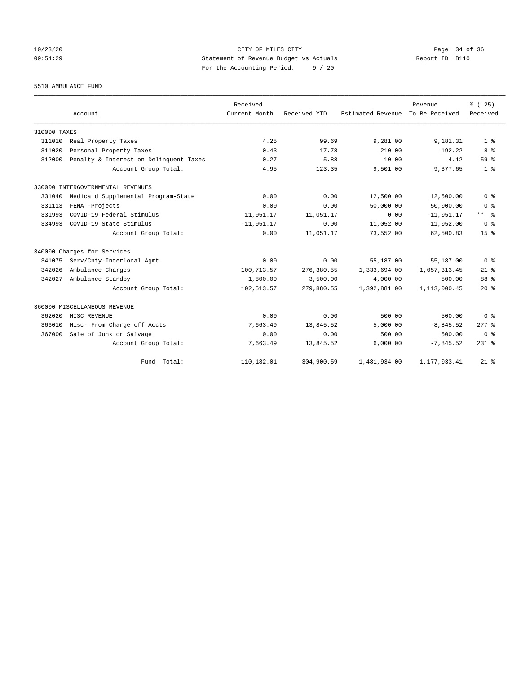# 10/23/20 Page: 34 of 36 CITY OF MILES CITY 09:54:29 Statement of Revenue Budget vs Actuals Report ID: B110 For the Accounting Period: 9 / 20

5510 AMBULANCE FUND

|              | Account                                | Received<br>Current Month | Received YTD | Estimated Revenue | Revenue<br>To Be Received | % (25)<br>Received |
|--------------|----------------------------------------|---------------------------|--------------|-------------------|---------------------------|--------------------|
| 310000 TAXES |                                        |                           |              |                   |                           |                    |
| 311010       | Real Property Taxes                    | 4.25                      | 99.69        | 9,281.00          | 9,181.31                  | 1 <sup>8</sup>     |
| 311020       | Personal Property Taxes                | 0.43                      | 17.78        | 210.00            | 192.22                    | 8 %                |
| 312000       | Penalty & Interest on Delinquent Taxes | 0.27                      | 5.88         | 10.00             | 4.12                      | 59 <sup>8</sup>    |
|              | Account Group Total:                   | 4.95                      | 123.35       | 9,501.00          | 9,377.65                  | 1 <sup>8</sup>     |
|              | 330000 INTERGOVERNMENTAL REVENUES      |                           |              |                   |                           |                    |
| 331040       | Medicaid Supplemental Program-State    | 0.00                      | 0.00         | 12,500.00         | 12,500.00                 | 0 <sup>8</sup>     |
| 331113       | FEMA -Projects                         | 0.00                      | 0.00         | 50,000.00         | 50,000.00                 | 0 <sup>8</sup>     |
| 331993       | COVID-19 Federal Stimulus              | 11,051.17                 | 11,051.17    | 0.00              | $-11,051.17$              | $***$ $ -$         |
| 334993       | COVID-19 State Stimulus                | $-11,051.17$              | 0.00         | 11,052.00         | 11,052.00                 | 0 <sup>8</sup>     |
|              | Account Group Total:                   | 0.00                      | 11,051.17    | 73,552.00         | 62,500.83                 | 15 <sup>8</sup>    |
|              | 340000 Charges for Services            |                           |              |                   |                           |                    |
| 341075       | Serv/Cnty-Interlocal Agmt              | 0.00                      | 0.00         | 55,187.00         | 55,187.00                 | 0 <sup>8</sup>     |
| 342026       | Ambulance Charges                      | 100, 713.57               | 276,380.55   | 1,333,694.00      | 1,057,313.45              | $21$ %             |
| 342027       | Ambulance Standby                      | 1,800.00                  | 3,500.00     | 4,000.00          | 500.00                    | 88 %               |
|              | Account Group Total:                   | 102,513.57                | 279,880.55   | 1,392,881.00      | 1,113,000.45              | $20*$              |
|              | 360000 MISCELLANEOUS REVENUE           |                           |              |                   |                           |                    |
| 362020       | MISC REVENUE                           | 0.00                      | 0.00         | 500.00            | 500.00                    | 0 <sup>8</sup>     |
| 366010       | Misc- From Charge off Accts            | 7,663.49                  | 13,845.52    | 5,000.00          | $-8,845.52$               | $277$ $%$          |
| 367000       | Sale of Junk or Salvage                | 0.00                      | 0.00         | 500.00            | 500.00                    | 0 <sup>8</sup>     |
|              | Account Group Total:                   | 7,663.49                  | 13,845.52    | 6,000.00          | $-7,845.52$               | $231$ $%$          |
|              | Fund Total:                            | 110,182.01                | 304,900.59   | 1,481,934.00      | 1,177,033.41              | $21*$              |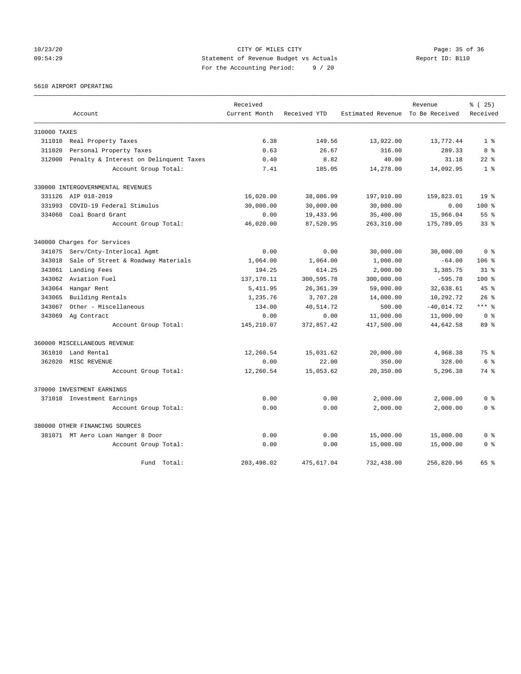# 10/23/20 Page: 35 of 36 CITY OF MILES CITY 09:54:29 Statement of Revenue Budget vs Actuals Report ID: B110 For the Accounting Period: 9 / 20

5610 AIRPORT OPERATING

|              |                                        | Received      |              |                                  | Revenue      | % (25)           |
|--------------|----------------------------------------|---------------|--------------|----------------------------------|--------------|------------------|
|              | Account                                | Current Month | Received YTD | Estimated Revenue To Be Received |              | Received         |
| 310000 TAXES |                                        |               |              |                                  |              |                  |
| 311010       | Real Property Taxes                    | 6.38          | 149.56       | 13,922.00                        | 13,772.44    | 1 <sup>8</sup>   |
| 311020       | Personal Property Taxes                | 0.63          | 26.67        | 316.00                           | 289.33       | 8 %              |
| 312000       | Penalty & Interest on Delinquent Taxes | 0.40          | 8.82         | 40.00                            | 31.18        | $22$ $%$         |
|              | Account Group Total:                   | 7.41          | 185.05       | 14,278.00                        | 14,092.95    | 1 <sup>8</sup>   |
|              | 330000 INTERGOVERNMENTAL REVENUES      |               |              |                                  |              |                  |
|              | 331126 AIP 018-2019                    | 16,020.00     | 38,086.99    | 197,910.00                       | 159,823.01   | 19 <sup>8</sup>  |
| 331993       | COVID-19 Federal Stimulus              | 30,000.00     | 30,000.00    | 30,000.00                        | 0.00         | $100$ %          |
| 334060       | Coal Board Grant                       | 0.00          | 19,433.96    | 35,400.00                        | 15,966.04    | 55 %             |
|              | Account Group Total:                   | 46,020.00     | 87,520.95    | 263,310.00                       | 175,789.05   | 33 <sup>8</sup>  |
|              | 340000 Charges for Services            |               |              |                                  |              |                  |
| 341075       | Serv/Cnty-Interlocal Agmt              | 0.00          | 0.00         | 30,000.00                        | 30,000.00    | 0 <sup>8</sup>   |
| 343018       | Sale of Street & Roadway Materials     | 1,064.00      | 1,064.00     | 1,000.00                         | $-64.00$     | 106 %            |
| 343061       | Landing Fees                           | 194.25        | 614.25       | 2,000.00                         | 1,385.75     | $31$ $%$         |
| 343062       | Aviation Fuel                          | 137,170.11    | 300,595.78   | 300,000.00                       | $-595.78$    | 100 <sub>8</sub> |
| 343064       | Hangar Rent                            | 5, 411.95     | 26,361.39    | 59,000.00                        | 32,638.61    | $45*$            |
| 343065       | Building Rentals                       | 1,235.76      | 3,707.28     | 14,000.00                        | 10,292.72    | $26$ $%$         |
| 343067       | Other - Miscellaneous                  | 134.00        | 40,514.72    | 500.00                           | $-40,014.72$ | $***$ $%$        |
| 343069       | Ag Contract                            | 0.00          | 0.00         | 11,000.00                        | 11,000.00    | 0 <sup>8</sup>   |
|              | Account Group Total:                   | 145,210.07    | 372,857.42   | 417,500.00                       | 44,642.58    | 89 %             |
|              | 360000 MISCELLANEOUS REVENUE           |               |              |                                  |              |                  |
| 361010       | Land Rental                            | 12,260.54     | 15,031.62    | 20,000.00                        | 4,968.38     | 75%              |
| 362020       | MISC REVENUE                           | 0.00          | 22.00        | 350.00                           | 328.00       | 6 %              |
|              | Account Group Total:                   | 12,260.54     | 15,053.62    | 20,350.00                        | 5,296.38     | 74 %             |
|              | 370000 INVESTMENT EARNINGS             |               |              |                                  |              |                  |
|              | 371010 Investment Earnings             | 0.00          | 0.00         | 2,000.00                         | 2,000.00     | 0 <sup>8</sup>   |
|              | Account Group Total:                   | 0.00          | 0.00         | 2,000.00                         | 2,000.00     | 0 <sup>8</sup>   |
|              | 380000 OTHER FINANCING SOURCES         |               |              |                                  |              |                  |
|              | 381071 MT Aero Loan Hanger 8 Door      | 0.00          | 0.00         | 15,000.00                        | 15,000.00    | 0 <sup>8</sup>   |
|              | Account Group Total:                   | 0.00          | 0.00         | 15,000.00                        | 15,000.00    | 0 <sup>8</sup>   |
|              | Fund Total:                            | 203,498.02    | 475,617.04   | 732,438.00                       | 256,820.96   | 65 %             |